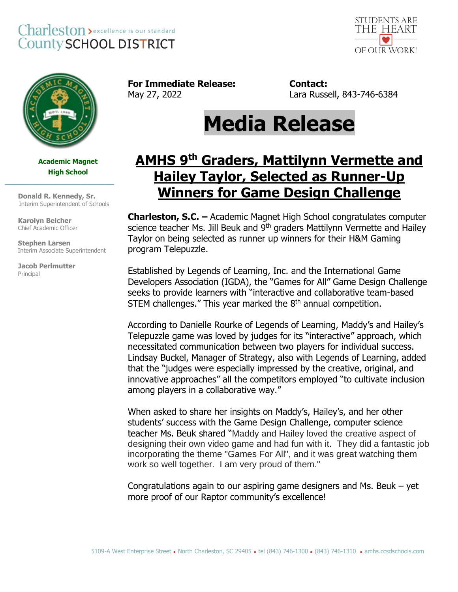## Charleston > excellence is our standard **County SCHOOL DISTRICT**





**Academic Magnet High School**

 **Donald R. Kennedy, Sr.** Interim Superintendent of Schools

**\_\_\_\_\_\_\_\_\_\_\_\_\_\_\_\_\_\_\_\_\_\_\_**

**Karolyn Belcher** Chief Academic Officer

 **Stephen Larsen** Interim Associate Superintendent

**Jacob Perlmutter** Principal

**For Immediate Release: Contact:**

May 27, 2022 Lara Russell, 843-746-6384

## **Media Release**

## **AMHS 9 th Graders, Mattilynn Vermette and Hailey Taylor, Selected as Runner-Up Winners for Game Design Challenge**

**Charleston, S.C. –** Academic Magnet High School congratulates computer science teacher Ms. Jill Beuk and 9<sup>th</sup> graders Mattilynn Vermette and Hailey Taylor on being selected as runner up winners for their H&M Gaming program Telepuzzle.

Established by Legends of Learning, Inc. and the International Game Developers Association (IGDA), the "Games for All" Game Design Challenge seeks to provide learners with "interactive and collaborative team-based STEM challenges." This year marked the  $8<sup>th</sup>$  annual competition.

According to Danielle Rourke of Legends of Learning, Maddy's and Hailey's Telepuzzle game was loved by judges for its "interactive" approach, which necessitated communication between two players for individual success. Lindsay Buckel, Manager of Strategy, also with Legends of Learning, added that the "judges were especially impressed by the creative, original, and innovative approaches" all the competitors employed "to cultivate inclusion among players in a collaborative way."

When asked to share her insights on Maddy's, Hailey's, and her other students' success with the Game Design Challenge, computer science teacher Ms. Beuk shared "Maddy and Hailey loved the creative aspect of designing their own video game and had fun with it. They did a fantastic job incorporating the theme "Games For All", and it was great watching them work so well together. I am very proud of them."

Congratulations again to our aspiring game designers and Ms. Beuk – yet more proof of our Raptor community's excellence!